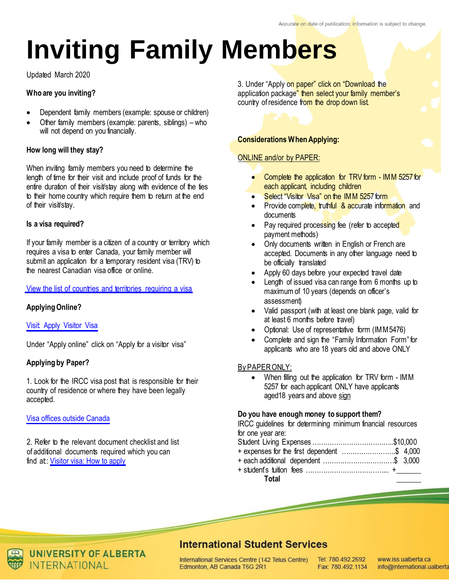# **Inviting Family Members**

Updated March 2020

# **Who are you inviting?**

- Dependent family members (example: spouse or children)
- Other family members (example: parents, siblings) who will not depend on you financially.

## **How long will they stay?**

When inviting family members you need to determine the length of time for their visit and include proof of funds for the entire duration of their visit/stay along with evidence of the ties to their home country which require them to return at the end of their visit/stay.

## **Is a visa required?**

If your family member is a citizen of a country or territory which requires a visa to enter Canada, your family member will submit an application for a temporary resident visa (TRV) to the nearest Canadian visa office or online.

## View the [list of countries and territories requiring a visa](http://www.cic.gc.ca/english/visit/visas.asp)

# **Applying Online?**

## Visit: Apply [Visitor](https://www.canada.ca/en/immigration-refugees-citizenship/services/visit-canada/apply-visitor-visa.html) Visa

Under "Apply online" click on "Apply for a visitor visa"

## **Applying by Paper?**

1. Look for the IRCC visa post that is responsible for their country of residence or where they have been legally accepted.

## [Visa offices outside Canada](http://www.cic.gc.ca/english/information/offices/apply-where.asp)

2. Refer to the relevant document checklist and list of additional documents required which you can find at:: [Visitor visa: How to apply](https://www.canada.ca/en/immigration-refugees-citizenship/services/visit-canada/apply-visitor-visa.html)

3. Under "Apply on paper" click on "Download the application package" then select your family member's country of residence from the drop down list.

# **Considerations When Applying:**

## ONLINE and/or by PAPER:

- Complete the application for TRV form IMM 5257 for each applicant, including children
- Select "Visitor Visa" on the IMM 5257 form
- Provide complete, truthful & accurate information and documents
- Pay required processing fee (refer to accepted payment methods)
- Only documents written in English or French are accepted. Documents in any other language need to be officially translated
- Apply 60 days before your expected travel date
- Length of issued visa can range from 6 months up to maximum of 10 years (depends on officer's assessment)
- Valid passport (with at least one blank page, valid for at least 6 months before travel)
- Optional: Use of representative form (IMM5476)
- Complete and sign the "Family Information Form" for applicants who are 18 years old and above ONLY

## By PAPER ONLY:

When filling out the application for TRV form - IMM 5257 for each applicant ONLY have applicants aged18 years and above sign

#### **Do you have enough money to support them?**

IRCC guidelines for determining minimum financial resources for one year are:

- Student Living Expenses ………………………………..\$10,000
- + expenses for the first dependent …………………….\$ 4,000
- + each additional dependent ……………………………\$ 3,000
- + student's tuition fees ………………………………... +\_\_\_\_\_\_\_ **Total** \_\_\_\_\_\_\_



**UNIVERSITY OF ALBERTA INTERNATIONAL** 

# **International Student Services**

International Services Centre (142 Telus Centre) Edmonton, AB Canada T6G 2R1

Tel: 780.492.2692 Fax: 780.492.1134